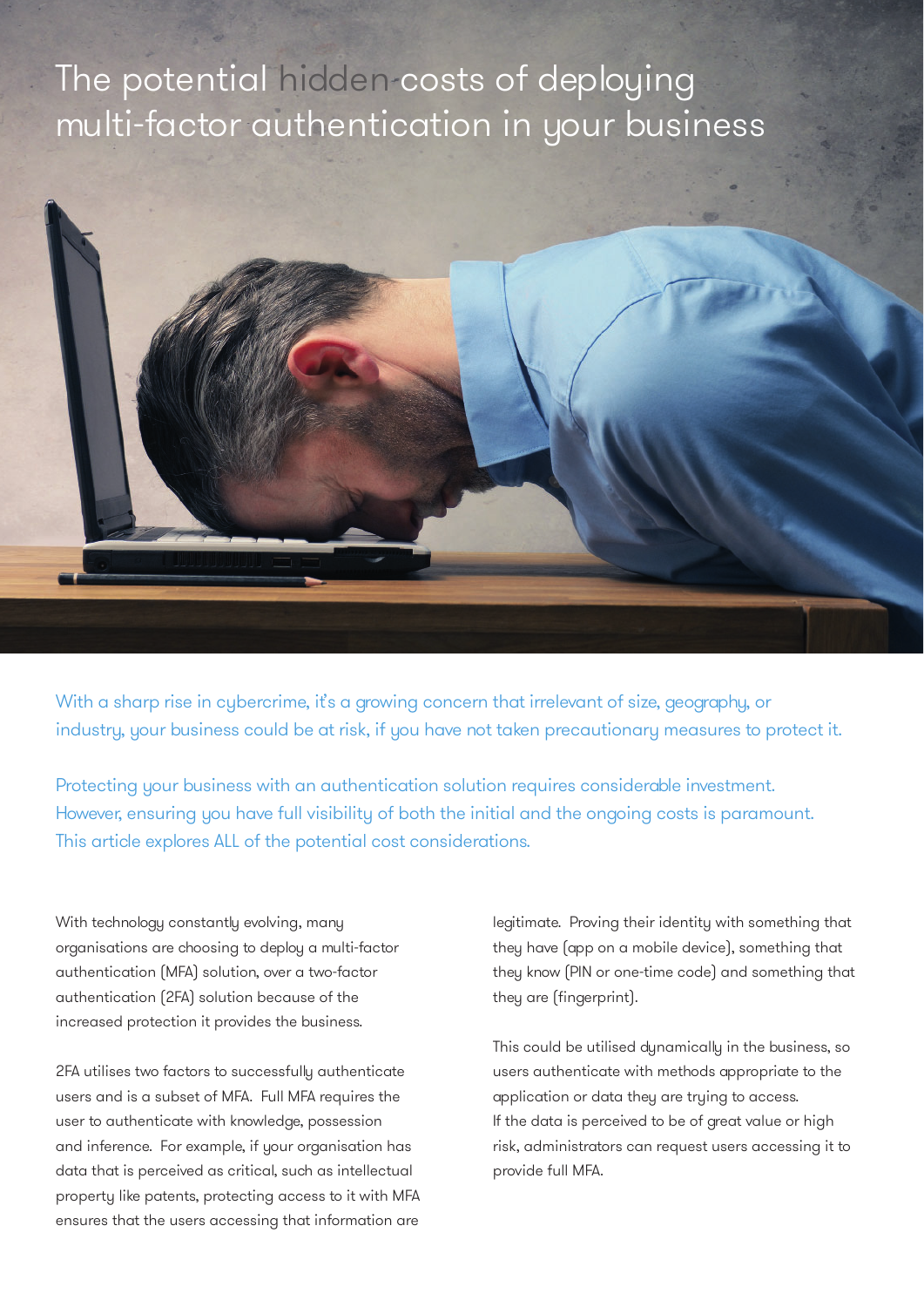# The potential hidden costs of deploying multi-factor authentication in your business



With a sharp rise in cybercrime, it's a growing concern that irrelevant of size, geography, or industry, your business could be at risk, if you have not taken precautionary measures to protect it.

Protecting your business with an authentication solution requires considerable investment. However, ensuring you have full visibility of both the initial and the ongoing costs is paramount. This article explores ALL of the potential cost considerations.

With technology constantly evolving, many organisations are choosing to deploy a multi-factor authentication (MFA) solution, over a two-factor authentication (2FA) solution because of the increased protection it provides the business.

2FA utilises two factors to successfully authenticate users and is a subset of MFA. Full MFA requires the user to authenticate with knowledge, possession and inference. For example, if your organisation has data that is perceived as critical, such as intellectual property like patents, protecting access to it with MFA ensures that the users accessing that information are

legitimate. Proving their identity with something that they have (app on a mobile device), something that they know (PIN or one-time code) and something that they are (fingerprint).

This could be utilised dynamically in the business, so users authenticate with methods appropriate to the application or data they are trying to access. If the data is perceived to be of great value or high risk, administrators can request users accessing it to provide full MFA.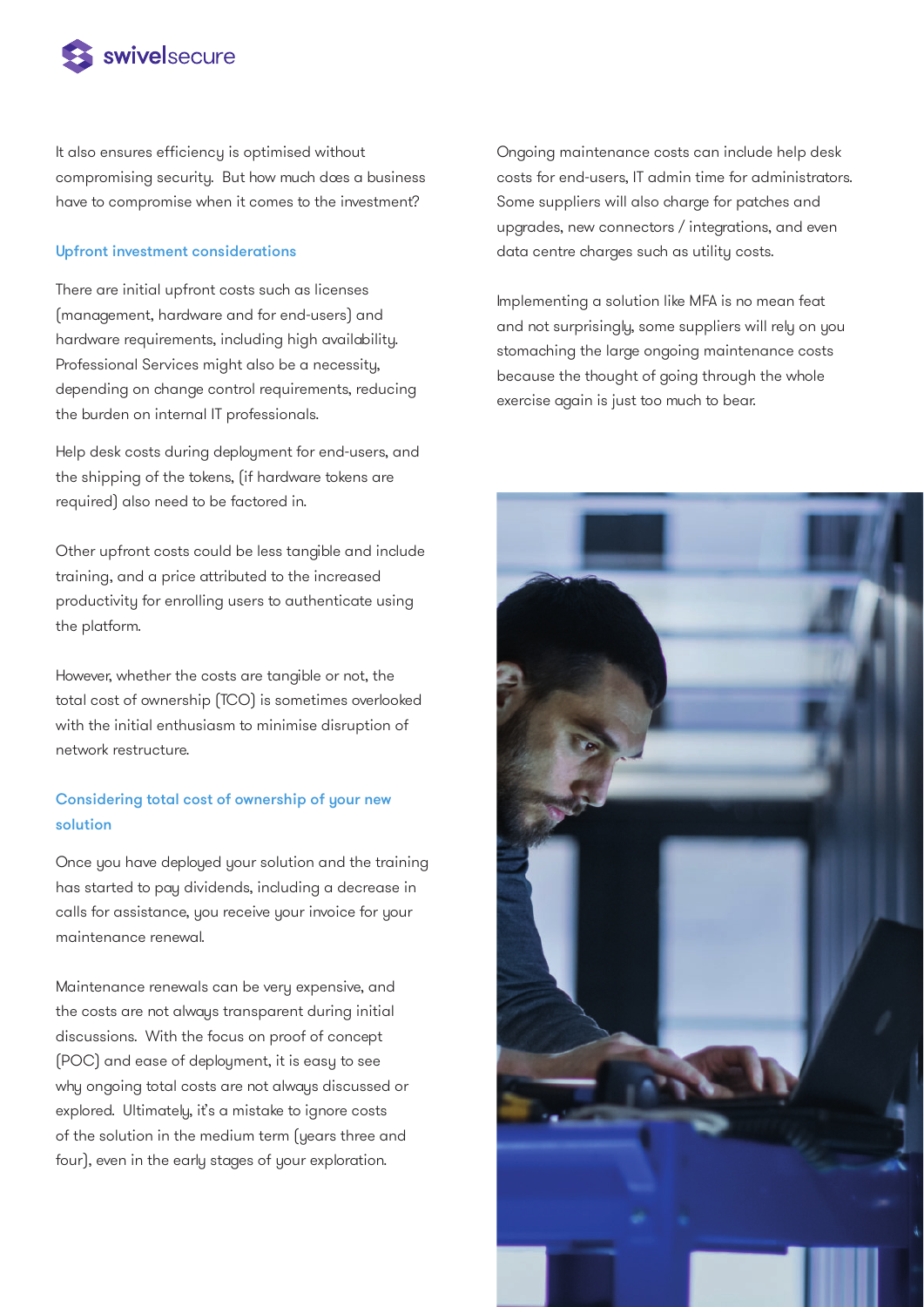

It also ensures efficiency is optimised without compromising security. But how much dœs a business have to compromise when it comes to the investment?

#### Upfront investment considerations

There are initial upfront costs such as licenses (management, hardware and for end-users) and hardware requirements, including high availability. Professional Services might also be a necessity, depending on change control requirements, reducing the burden on internal IT professionals.

Help desk costs during deployment for end-users, and the shipping of the tokens, (if hardware tokens are required) also need to be factored in.

Other upfront costs could be less tangible and include training, and a price attributed to the increased productivity for enrolling users to authenticate using the platform.

However, whether the costs are tangible or not, the total cost of ownership (TCO) is sometimes overlooked with the initial enthusiasm to minimise disruption of network restructure.

### Considering total cost of ownership of your new solution

Once you have deployed your solution and the training has started to pay dividends, including a decrease in calls for assistance, you receive your invoice for your maintenance renewal.

Maintenance renewals can be very expensive, and the costs are not always transparent during initial discussions. With the focus on proof of concept (POC) and ease of deployment, it is easy to see why ongoing total costs are not always discussed or explored. Ultimately, it's a mistake to ignore costs of the solution in the medium term (years three and four), even in the early stages of your exploration.

Ongoing maintenance costs can include help desk costs for end-users, IT admin time for administrators. Some suppliers will also charge for patches and upgrades, new connectors / integrations, and even data centre charges such as utility costs.

Implementing a solution like MFA is no mean feat and not surprisingly, some suppliers will rely on you stomaching the large ongoing maintenance costs because the thought of going through the whole exercise again is just too much to bear.

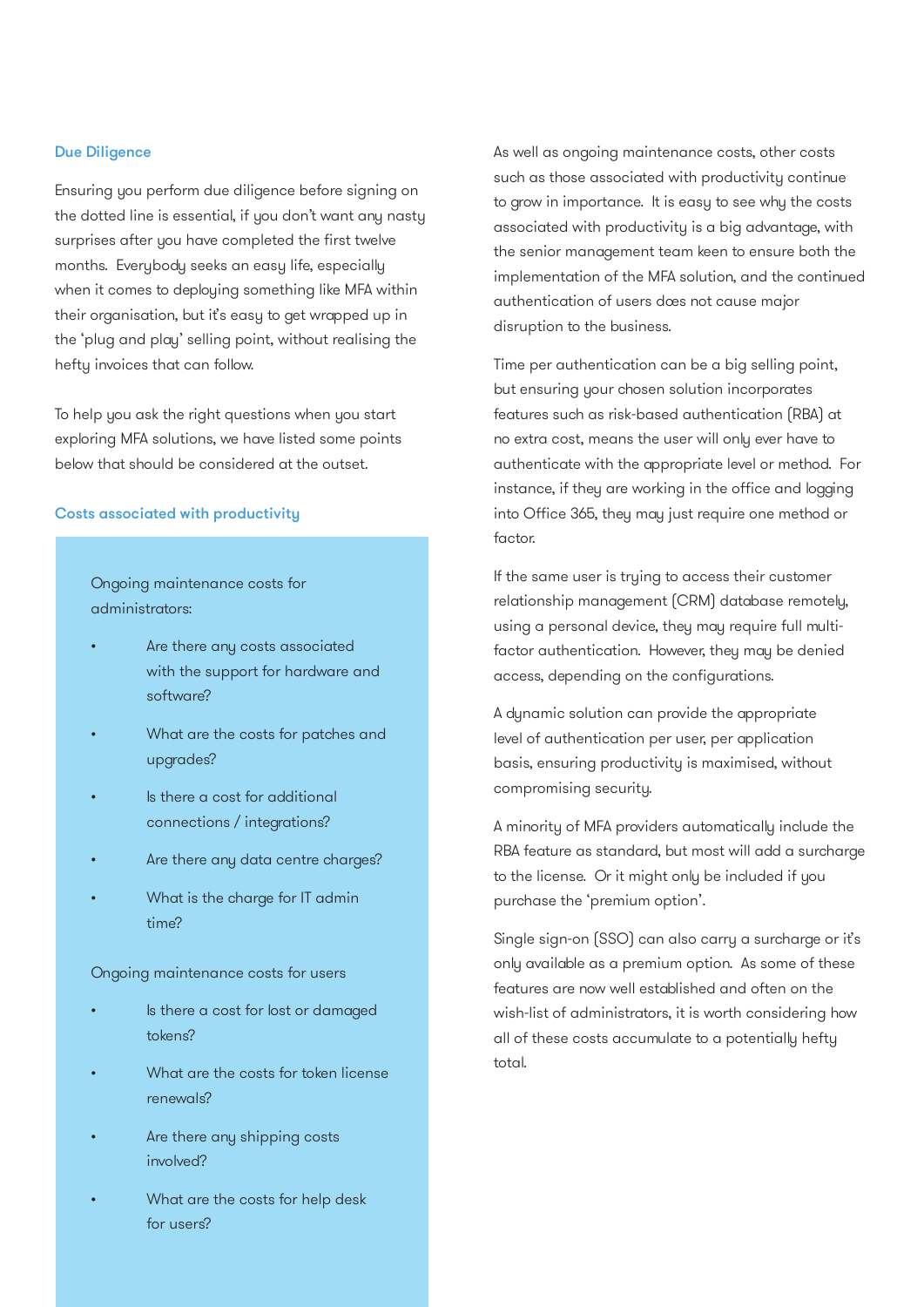#### Due Diligence

Ensuring you perform due diligence before signing on the dotted line is essential, if you don't want any nasty surprises after you have completed the first twelve months. Everybody seeks an easy life, especially when it comes to deploying something like MFA within their organisation, but it's easy to get wrapped up in the 'plug and play' selling point, without realising the hefty invoices that can follow.

To help you ask the right questions when you start exploring MFA solutions, we have listed some points below that should be considered at the outset.

#### Costs associated with productivity

Ongoing maintenance costs for administrators:

- Are there any costs associated with the support for hardware and software?
- What are the costs for patches and upgrades?
- Is there a cost for additional connections / integrations?
- Are there any data centre charges?
- What is the charge for IT admin time?

Ongoing maintenance costs for users

- Is there a cost for lost or damaged tokens?
- What are the costs for token license renewals?
- Are there any shipping costs involved?
- What are the costs for help desk for users?

As well as ongoing maintenance costs, other costs such as those associated with productivity continue to grow in importance. It is easy to see why the costs associated with productivity is a big advantage, with the senior management team keen to ensure both the implementation of the MFA solution, and the continued authentication of users dœs not cause major disruption to the business.

Time per authentication can be a big selling point, but ensuring your chosen solution incorporates features such as risk-based authentication (RBA) at no extra cost, means the user will only ever have to authenticate with the appropriate level or method. For instance, if they are working in the office and logging into Office 365, they may just require one method or factor.

If the same user is trying to access their customer relationship management (CRM) database remotely, using a personal device, they may require full multifactor authentication. However, they may be denied access, depending on the configurations.

A dynamic solution can provide the appropriate level of authentication per user, per application basis, ensuring productivity is maximised, without compromising security.

A minority of MFA providers automatically include the RBA feature as standard, but most will add a surcharge to the license. Or it might only be included if you purchase the 'premium option'.

Single sign-on (SSO) can also carry a surcharge or it's only available as a premium option. As some of these features are now well established and often on the wish-list of administrators, it is worth considering how all of these costs accumulate to a potentially hefty total.